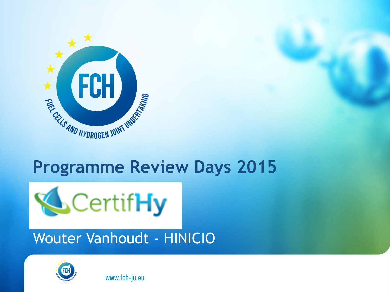

# **Programme Review Days 2015**



# Wouter Vanhoudt - HINICIO

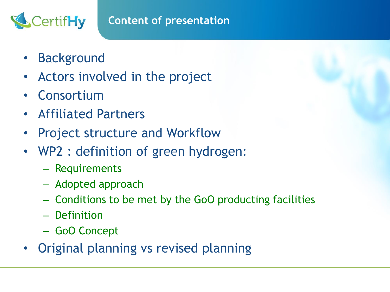#### **Content of presentation**

• Background

CertifHy

- Actors involved in the project
- Consortium
- Affiliated Partners
- Project structure and Workflow
- WP2 : definition of green hydrogen:
	- Requirements
	- Adopted approach
	- Conditions to be met by the GoO producting facilities
	- Definition
	- GoO Concept
- Original planning vs revised planning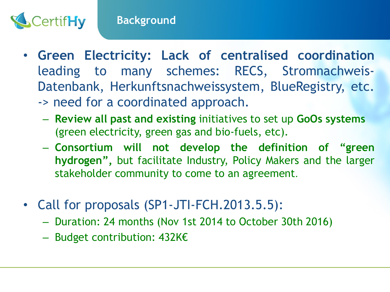

- **Green Electricity: Lack of centralised coordination** leading to many schemes: RECS, Stromnachweis-Datenbank, Herkunftsnachweissystem, BlueRegistry, etc.
	- -> need for a coordinated approach.
		- **Review all past and existing** initiatives to set up **GoOs systems**  (green electricity, green gas and bio-fuels, etc).
		- **Consortium will not develop the definition of "green hydrogen",** but facilitate Industry, Policy Makers and the larger stakeholder community to come to an agreement.
- Call for proposals (SP1-JTI-FCH.2013.5.5):
	- Duration: 24 months (Nov 1st 2014 to October 30th 2016)
	- Budget contribution: 432K€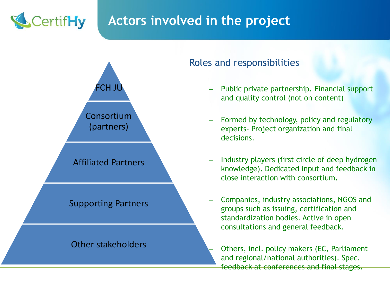

## **Actors involved in the project**



#### Roles and responsibilities

- Public private partnership. Financial support and quality control (not on content)
- Formed by technology, policy and regulatory experts- Project organization and final decisions.
- Industry players (first circle of deep hydrogen knowledge). Dedicated input and feedback in close interaction with consortium.
- Companies, industry associations, NGOS and groups such as issuing, certification and standardization bodies. Active in open consultations and general feedback.
	- Others, incl. policy makers (EC, Parliament and regional/national authorities). Spec. feedback at conferences and final stages.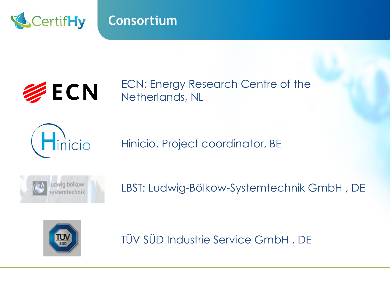

### **Consortium**



ECN: Energy Research Centre of the Netherlands, NL



Hinicio, Project coordinator, BE



LBST: Ludwig-Bölkow-Systemtechnik GmbH , DE



TÜV SÜD Industrie Service GmbH , DE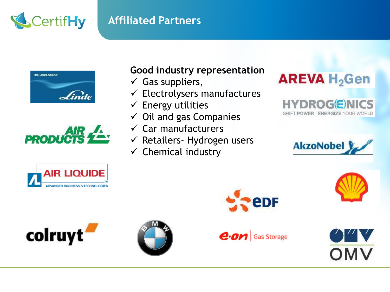# CertifHy

#### **Affiliated Partners**





#### **Good industry representation**

- $\checkmark$  Gas suppliers,
- $\checkmark$  Electrolysers manufactures
- $\checkmark$  Energy utilities
- $\checkmark$  Oil and gas Companies
- $\checkmark$  Car manufacturers
- $\checkmark$  Retailers- Hydrogen users
- $\checkmark$  Chemical industry

## **AREVA H<sub>2</sub>Gen**

**HYDROG(E)NICS** SHIFT POWER | ENERGIZE YOUR WORLD



OMV









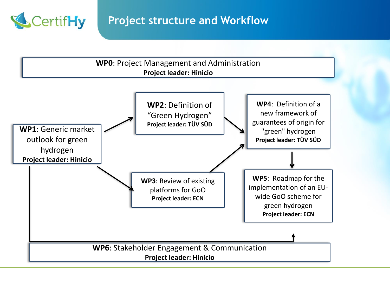

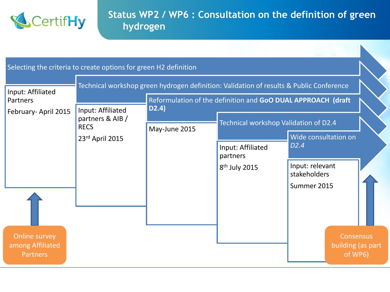

#### **Status WP2 / WP6 : Consultation on the definition of green hydrogen**

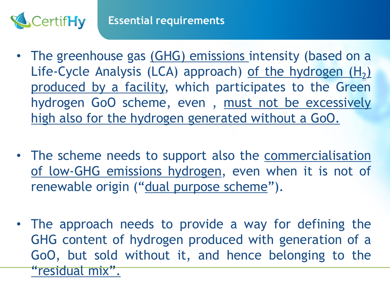

- The greenhouse gas (GHG) emissions intensity (based on a Life-Cycle Analysis (LCA) approach) <u>of the hydrogen (H<sub>2</sub>)</u> produced by a facility, which participates to the Green hydrogen GoO scheme, even , must not be excessively high also for the hydrogen generated without a GoO.
- The scheme needs to support also the commercialisation of low-GHG emissions hydrogen, even when it is not of renewable origin ("dual purpose scheme").
- The approach needs to provide a way for defining the GHG content of hydrogen produced with generation of a GoO, but sold without it, and hence belonging to the "residual mix".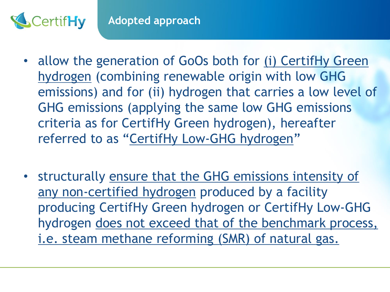

- allow the generation of GoOs both for (i) CertifHy Green hydrogen (combining renewable origin with low GHG emissions) and for (ii) hydrogen that carries a low level of GHG emissions (applying the same low GHG emissions criteria as for CertifHy Green hydrogen), hereafter referred to as "CertifHy Low-GHG hydrogen"
- structurally ensure that the GHG emissions intensity of any non-certified hydrogen produced by a facility producing CertifHy Green hydrogen or CertifHy Low-GHG hydrogen does not exceed that of the benchmark process, i.e. steam methane reforming (SMR) of natural gas.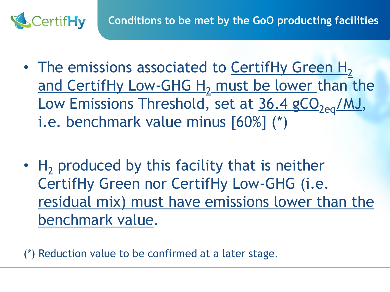

- The emissions associated to CertifHy Green  $H_2$ and CertifHy Low-GHG H<sub>2</sub> must be lower than the Low Emissions Threshold, set at  $36.4$  gCO<sub>2eq</sub>/MJ, i.e. benchmark value minus [60%] (\*)
- $H<sub>2</sub>$  produced by this facility that is neither CertifHy Green nor CertifHy Low-GHG (i.e. residual mix) must have emissions lower than the benchmark value.

(\*) Reduction value to be confirmed at a later stage.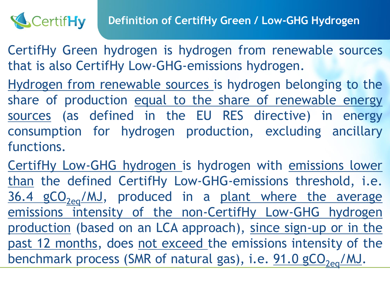

CertifHy Green hydrogen is hydrogen from renewable sources that is also CertifHy Low-GHG-emissions hydrogen.

Hydrogen from renewable sources is hydrogen belonging to the share of production equal to the share of renewable energy sources (as defined in the EU RES directive) in energy consumption for hydrogen production, excluding ancillary functions.

CertifHy Low-GHG hydrogen is hydrogen with emissions lower than the defined CertifHy Low-GHG-emissions threshold, i.e.  $36.4$  gCO<sub>2eq</sub>/MJ, produced in a plant where the average emissions intensity of the non-CertifHy Low-GHG hydrogen production (based on an LCA approach), since sign-up or in the past 12 months, does not exceed the emissions intensity of the benchmark process (SMR of natural gas), i.e.  $91.0$  gCO<sub>2eq</sub>/MJ.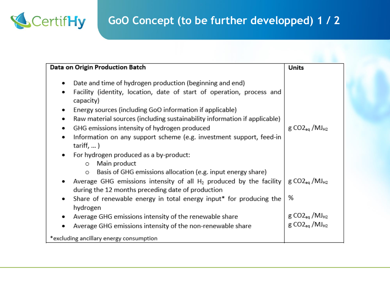

| Data on Origin Production Batch                                                                                                                                                                      | Units                                                             |
|------------------------------------------------------------------------------------------------------------------------------------------------------------------------------------------------------|-------------------------------------------------------------------|
| Date and time of hydrogen production (beginning and end)<br>٠<br>Facility (identity, location, date of start of operation, process and<br>٠<br>capacity)                                             |                                                                   |
| Energy sources (including GoO information if applicable)<br>٠<br>Raw material sources (including sustainability information if applicable)<br>٠<br>GHG emissions intensity of hydrogen produced<br>٠ | $g CO2_{eq}$ /MJ <sub>H2</sub>                                    |
| Information on any support scheme (e.g. investment support, feed-in<br>٠<br>$tariff, $ )                                                                                                             |                                                                   |
| For hydrogen produced as a by-product:<br>٠<br>Main product<br>O<br>Basis of GHG emissions allocation (e.g. input energy share)<br>$\circ$                                                           |                                                                   |
| Average GHG emissions intensity of all $H_2$ produced by the facility<br>during the 12 months preceding date of production                                                                           | $g CO2_{eq}$ /MJ $_{H2}$                                          |
| Share of renewable energy in total energy input* for producing the<br>٠<br>hydrogen                                                                                                                  | %                                                                 |
| Average GHG emissions intensity of the renewable share<br>٠<br>Average GHG emissions intensity of the non-renewable share                                                                            | $g CO2_{eq}$ /MJ $_{H2}$<br>g CO <sub>2eg</sub> /MJ <sub>H2</sub> |
| *excluding ancillary energy consumption                                                                                                                                                              |                                                                   |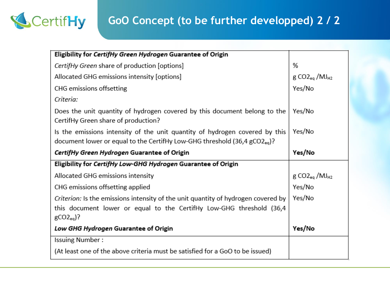

## **GoO Concept (to be further developped) 2 / 2**

| Eligibility for CertifHy Green Hydrogen Guarantee of Origin                                                      |                                         |
|------------------------------------------------------------------------------------------------------------------|-----------------------------------------|
| CertifHy Green share of production [options]                                                                     | %                                       |
| Allocated GHG emissions intensity [options]                                                                      | $g CO2_{eq}$ /MJ $_{H2}$                |
| CHG emissions offsetting                                                                                         | Yes/No                                  |
| Criteria:                                                                                                        |                                         |
| Does the unit quantity of hydrogen covered by this document belong to the<br>CertifHy Green share of production? | Yes/No                                  |
| Is the emissions intensity of the unit quantity of hydrogen covered by this                                      | Yes/No                                  |
| document lower or equal to the CertifHy Low-GHG threshold (36,4 gCO2 <sub>eq</sub> )?                            |                                         |
| CertifHy Green Hydrogen Guarantee of Origin                                                                      | Yes/No                                  |
| Eligibility for CertifHy Low-GHG Hydrogen Guarantee of Origin                                                    |                                         |
| Allocated GHG emissions intensity                                                                                | $g$ CO2 <sub>eq</sub> /MJ <sub>H2</sub> |
| CHG emissions offsetting applied                                                                                 | Yes/No                                  |
| Criterion: Is the emissions intensity of the unit quantity of hydrogen covered by                                | Yes/No                                  |
| this document lower or equal to the CertifHy Low-GHG threshold (36,4)                                            |                                         |
| $gCO2_{eq}$ ?                                                                                                    |                                         |
| Low GHG Hydrogen Guarantee of Origin                                                                             | Yes/No                                  |
| <b>Issuing Number:</b>                                                                                           |                                         |
| (At least one of the above criteria must be satisfied for a GoO to be issued)                                    |                                         |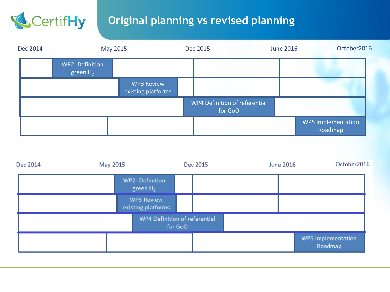

### **Original planning vs revised planning**

| Dec 2014 |                                       | May 2015                                | Dec 2015 | <b>June 2016</b>                         | October2016                          |
|----------|---------------------------------------|-----------------------------------------|----------|------------------------------------------|--------------------------------------|
|          | <b>WP2: Definition</b><br>green $H_2$ |                                         |          |                                          |                                      |
|          |                                       | <b>WP3 Review</b><br>existing platforms |          |                                          |                                      |
|          |                                       |                                         |          | WP4 Definition of referential<br>for GoO |                                      |
|          |                                       |                                         |          |                                          | <b>WP5 Implementation</b><br>Roadmap |

| Dec 2014 | May 2015 |                                  | Dec 2015                                 | <b>June 2016</b> | October2016                          |
|----------|----------|----------------------------------|------------------------------------------|------------------|--------------------------------------|
|          |          | WP2: Definition<br>green $H_2$   |                                          |                  |                                      |
|          |          | WP3 Review<br>existing platforms |                                          |                  |                                      |
|          |          |                                  | WP4 Definition of referential<br>for GoO |                  |                                      |
|          |          |                                  |                                          |                  | <b>WP5</b> Implementation<br>Roadmap |